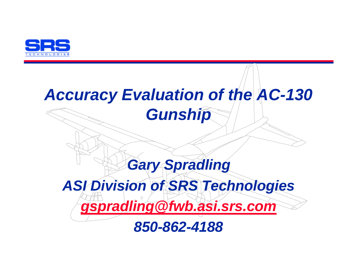

# *Accuracy Evaluation of the AC-130 Gunship*

# *Gary Spradling ASI Division of SRS Technologies gspradling@fwb.asi.srs.com*

*850-862-4188*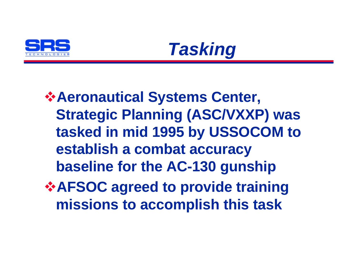



# v**Aeronautical Systems Center, Strategic Planning (ASC/VXXP) was tasked in mid 1995 by USSOCOM to establish a combat accuracy baseline for the AC-130 gunship** *<b>☆AFSOC agreed to provide training* **missions to accomplish this task**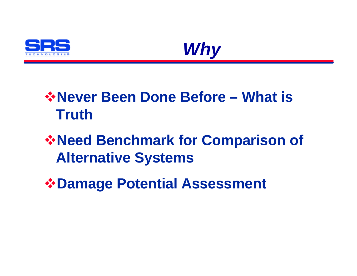



# *<u><b>*☆Never Been Done Before – What is</u> **Truth**

# *<b>☆Need Benchmark for Comparison of* **Alternative Systems**

v**Damage Potential Assessment**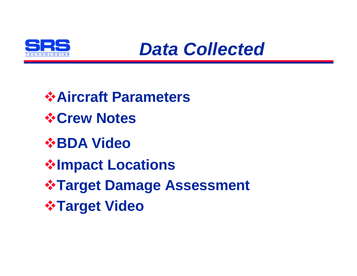

*Data Collected*

v**Aircraft Parameters** v**Crew Notes** *<b>☆BDA Video ❖Impact Locations <b>☆Target Damage Assessment <b>☆Target Video*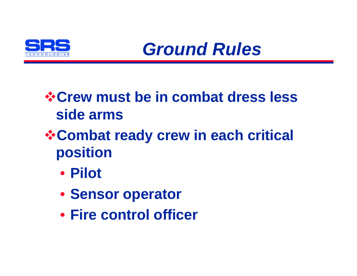

*Ground Rules*

### *<b>☆Crew must be in combat dress less* **side arms**

- *\** **Combat ready crew in each critical position**
	- **Pilot**
	- **Sensor operator**
	- **Fire control officer**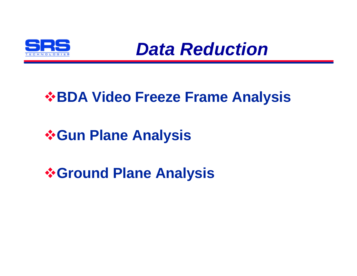

*Data Reduction*

### *<b>☆BDA Video Freeze Frame Analysis*

#### *<b>☆Gun Plane Analysis*

*<u><b>*∻Ground Plane Analysis</u>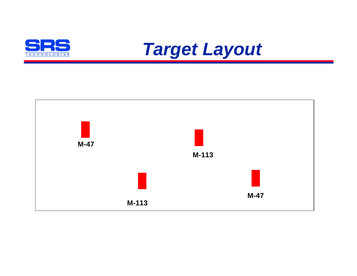



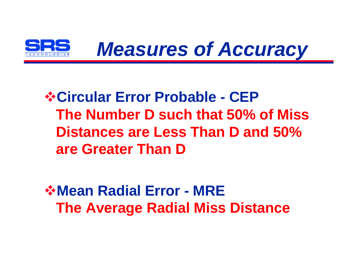

# v**Circular Error Probable - CEP The Number D such that 50% of Miss Distances are Less Than D and 50% are Greater Than D**

*<u><b>*☆Mean Radial Error - MRE</u> **The Average Radial Miss Distance**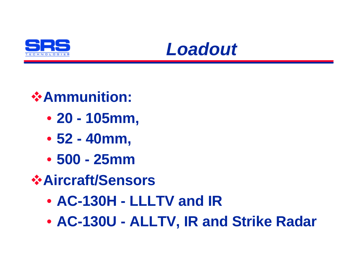



- *<u>❖Ammunition:</u>* 
	- **20 105mm,**
	- **52 40mm,**
	- **500 25mm**
- v**Aircraft/Sensors**
	- **AC-130H LLLTV and IR**
	- **AC-130U ALLTV, IR and Strike Radar**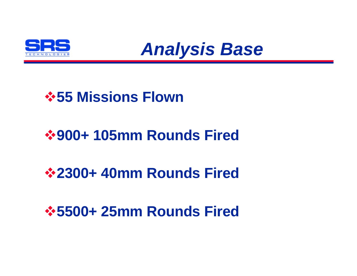



#### *<b>☆55 Missions Flown*

# v**900+ 105mm Rounds Fired**

#### v**2300+ 40mm Rounds Fired**

#### v**5500+ 25mm Rounds Fired**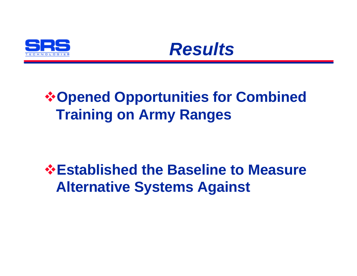



# *<b>☆Opened Opportunities for Combined* **Training on Army Ranges**

# *<b>☆Established the Baseline to Measure* **Alternative Systems Against**